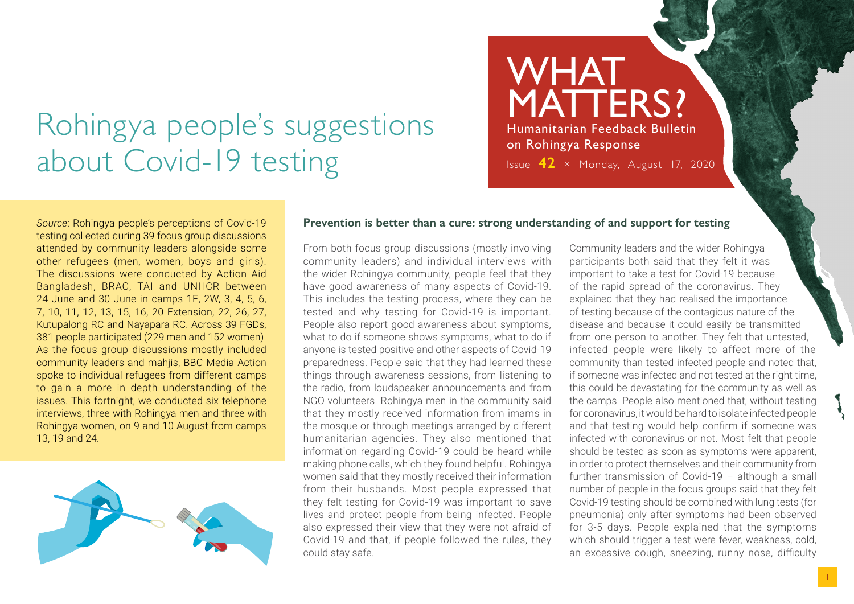# Rohingya people's suggestions about Covid-19 testing

**WHAT** MATTERS? Humanitarian Feedback Bulletin on Rohingya Response Issue **42** × Monday, August 17, 2020

*Source*: Rohingya people's perceptions of Covid-19 testing collected during 39 focus group discussions attended by community leaders alongside some other refugees (men, women, boys and girls). The discussions were conducted by Action Aid Bangladesh, BRAC, TAI and UNHCR between 24 June and 30 June in camps 1E, 2W, 3, 4, 5, 6, 7, 10, 11, 12, 13, 15, 16, 20 Extension, 22, 26, 27, Kutupalong RC and Nayapara RC. Across 39 FGDs, 381 people participated (229 men and 152 women). As the focus group discussions mostly included community leaders and mahjis, BBC Media Action spoke to individual refugees from different camps to gain a more in depth understanding of the issues. This fortnight, we conducted six telephone interviews, three with Rohingya men and three with Rohingya women, on 9 and 10 August from camps 13, 19 and 24.



### **Prevention is better than a cure: strong understanding of and support for testing**

From both focus group discussions (mostly involving community leaders) and individual interviews with the wider Rohingya community, people feel that they have good awareness of many aspects of Covid-19. This includes the testing process, where they can be tested and why testing for Covid-19 is important. People also report good awareness about symptoms, what to do if someone shows symptoms, what to do if anyone is tested positive and other aspects of Covid-19 preparedness. People said that they had learned these things through awareness sessions, from listening to the radio, from loudspeaker announcements and from NGO volunteers. Rohingya men in the community said that they mostly received information from imams in the mosque or through meetings arranged by different humanitarian agencies. They also mentioned that information regarding Covid-19 could be heard while making phone calls, which they found helpful. Rohingya women said that they mostly received their information from their husbands. Most people expressed that they felt testing for Covid-19 was important to save lives and protect people from being infected. People also expressed their view that they were not afraid of Covid-19 and that, if people followed the rules, they could stay safe.

Community leaders and the wider Rohingya participants both said that they felt it was important to take a test for Covid-19 because of the rapid spread of the coronavirus. They explained that they had realised the importance of testing because of the contagious nature of the disease and because it could easily be transmitted from one person to another. They felt that untested, infected people were likely to affect more of the community than tested infected people and noted that, if someone was infected and not tested at the right time, this could be devastating for the community as well as the camps. People also mentioned that, without testing for coronavirus, it would be hard to isolate infected people and that testing would help confirm if someone was infected with coronavirus or not. Most felt that people should be tested as soon as symptoms were apparent, in order to protect themselves and their community from further transmission of Covid-19 – although a small number of people in the focus groups said that they felt Covid-19 testing should be combined with lung tests (for pneumonia) only after symptoms had been observed for 3-5 days. People explained that the symptoms which should trigger a test were fever, weakness, cold, an excessive cough, sneezing, runny nose, difficulty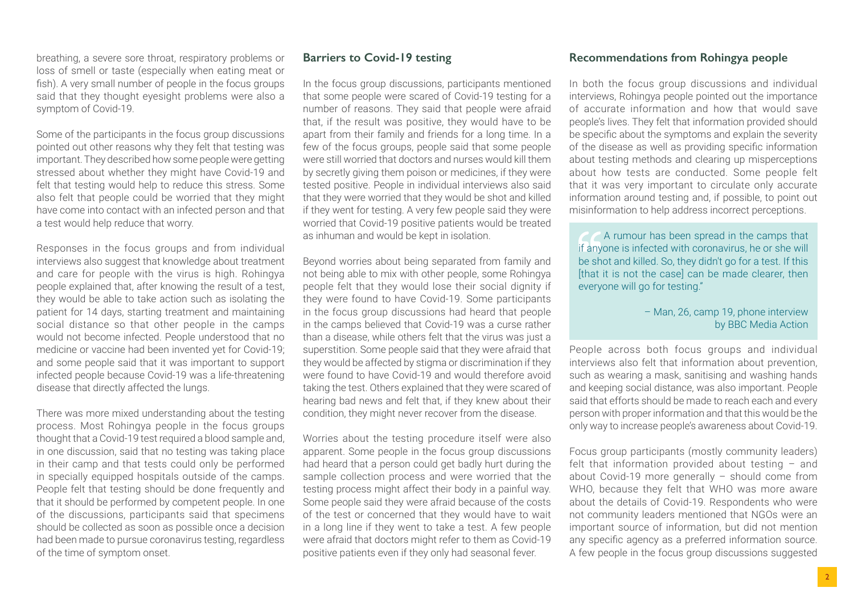breathing, a severe sore throat, respiratory problems or loss of smell or taste (especially when eating meat or fish). A very small number of people in the focus groups said that they thought eyesight problems were also a symptom of Covid-19.

Some of the participants in the focus group discussions pointed out other reasons why they felt that testing was important. They described how some people were getting stressed about whether they might have Covid-19 and felt that testing would help to reduce this stress. Some also felt that people could be worried that they might have come into contact with an infected person and that a test would help reduce that worry.

Responses in the focus groups and from individual interviews also suggest that knowledge about treatment and care for people with the virus is high. Rohingya people explained that, after knowing the result of a test, they would be able to take action such as isolating the patient for 14 days, starting treatment and maintaining social distance so that other people in the camps would not become infected. People understood that no medicine or vaccine had been invented yet for Covid-19; and some people said that it was important to support infected people because Covid-19 was a life-threatening disease that directly affected the lungs.

There was more mixed understanding about the testing process. Most Rohingya people in the focus groups thought that a Covid-19 test required a blood sample and, in one discussion, said that no testing was taking place in their camp and that tests could only be performed in specially equipped hospitals outside of the camps. People felt that testing should be done frequently and that it should be performed by competent people. In one of the discussions, participants said that specimens should be collected as soon as possible once a decision had been made to pursue coronavirus testing, regardless of the time of symptom onset.

### **Barriers to Covid-19 testing**

In the focus group discussions, participants mentioned that some people were scared of Covid-19 testing for a number of reasons. They said that people were afraid that, if the result was positive, they would have to be apart from their family and friends for a long time. In a few of the focus groups, people said that some people were still worried that doctors and nurses would kill them by secretly giving them poison or medicines, if they were tested positive. People in individual interviews also said that they were worried that they would be shot and killed if they went for testing. A very few people said they were worried that Covid-19 positive patients would be treated as inhuman and would be kept in isolation.

Beyond worries about being separated from family and not being able to mix with other people, some Rohingya people felt that they would lose their social dignity if they were found to have Covid-19. Some participants in the focus group discussions had heard that people in the camps believed that Covid-19 was a curse rather than a disease, while others felt that the virus was just a superstition. Some people said that they were afraid that they would be affected by stigma or discrimination if they were found to have Covid-19 and would therefore avoid taking the test. Others explained that they were scared of hearing bad news and felt that, if they knew about their condition, they might never recover from the disease.

Worries about the testing procedure itself were also apparent. Some people in the focus group discussions had heard that a person could get badly hurt during the sample collection process and were worried that the testing process might affect their body in a painful way. Some people said they were afraid because of the costs of the test or concerned that they would have to wait in a long line if they went to take a test. A few people were afraid that doctors might refer to them as Covid-19 positive patients even if they only had seasonal fever.

## **Recommendations from Rohingya people**

In both the focus group discussions and individual interviews, Rohingya people pointed out the importance of accurate information and how that would save people's lives. They felt that information provided should be specific about the symptoms and explain the severity of the disease as well as providing specific information about testing methods and clearing up misperceptions about how tests are conducted. Some people felt that it was very important to circulate only accurate information around testing and, if possible, to point out misinformation to help address incorrect perceptions.

A rumour has been spread in the camps that if anyone is infected with coronavirus, he or she will be shot and killed. So, they didn't go for a test. If this [that it is not the case] can be made clearer, then everyone will go for testing."

#### – Man, 26, camp 19, phone interview by BBC Media Action

People across both focus groups and individual interviews also felt that information about prevention, such as wearing a mask, sanitising and washing hands and keeping social distance, was also important. People said that efforts should be made to reach each and every person with proper information and that this would be the only way to increase people's awareness about Covid-19.

Focus group participants (mostly community leaders) felt that information provided about testing – and about Covid-19 more generally – should come from WHO, because they felt that WHO was more aware about the details of Covid-19. Respondents who were not community leaders mentioned that NGOs were an important source of information, but did not mention any specific agency as a preferred information source. A few people in the focus group discussions suggested